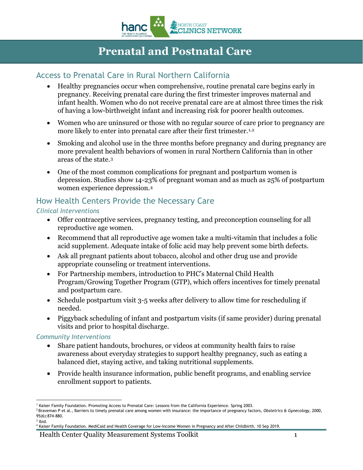

# **Prenatal and Postnatal Care**

### Access to Prenatal Care in Rural Northern California

- Healthy pregnancies occur when comprehensive, routine prenatal care begins early in pregnancy. Receiving prenatal care during the first trimester improves maternal and infant health. Women who do not receive prenatal care are at almost three times the risk of having a low-birthweight infant and increasing risk for poorer health outcomes.
- Women who are uninsured or those with no regular source of care prior to pregnancy are more likely to enter into prenatal care after their first trimester.<sup>[1](#page-0-0),[2](#page-0-1)</sup>
- Smoking and alcohol use in the three months before pregnancy and during pregnancy are more prevalent health behaviors of women in rural Northern California than in other areas of the state.[3](#page-0-2)
- One of the most common complications for pregnant and postpartum women is depression. Studies show 14-23% of pregnant woman and as much as 25% of postpartum women experience depression.[4](#page-0-3)

# How Health Centers Provide the Necessary Care

#### *Clinical Interventions*

- Offer contraceptive services, pregnancy testing, and preconception counseling for all reproductive age women.
- Recommend that all reproductive age women take a multi-vitamin that includes a folic acid supplement. Adequate intake of folic acid may help prevent some birth defects.
- Ask all pregnant patients about tobacco, alcohol and other drug use and provide appropriate counseling or treatment interventions.
- For Partnership members, introduction to PHC's Maternal Child Health Program/Growing Together Program (GTP), which offers incentives for timely prenatal and postpartum care.
- Schedule postpartum visit 3-5 weeks after delivery to allow time for rescheduling if needed.
- Piggyback scheduling of infant and postpartum visits (if same provider) during prenatal visits and prior to hospital discharge.

#### *Community Interventions*

- Share patient handouts, brochures, or videos at community health fairs to raise awareness about everyday strategies to support healthy pregnancy, such as eating a balanced diet, staying active, and taking nutritional supplements.
- Provide health insurance information, public benefit programs, and enabling service enrollment support to patients.

<span id="page-0-0"></span> $\overline{a}$ <sup>1</sup> Kaiser Family Foundation. Promoting Access to Prenatal Care: Lessons from the California Experience. Spring 2003.

<span id="page-0-1"></span><sup>2</sup> Braveman P et al., Barriers to timely prenatal care among women with insurance: the importance of pregnancy factors, *Obstetrics & Gynecology*, 2000, 95(6):874-880.  $3$  Ibid.

<span id="page-0-3"></span><span id="page-0-2"></span><sup>4</sup> Kaiser Family Foundation. MediCaid and Health Coverage for Low-Income Women in Pregnancy and After Childbirth. 10 Sep 2019.